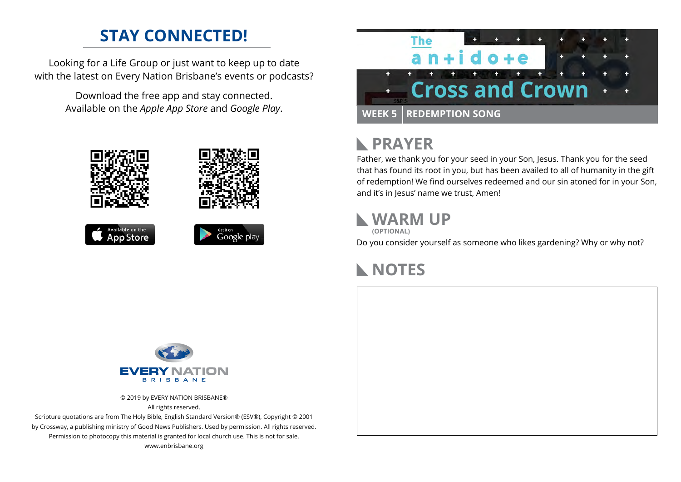### **STAY CONNECTED!**

Looking for a Life Group or just want to keep up to date with the latest on Every Nation Brisbane's events or podcasts?

> Download the free app and stay connected. Available on the *Apple App Store* and *Google Play*.





## **PRAYER**

Father, we thank you for your seed in your Son, Jesus. Thank you for the seed that has found its root in you, but has been availed to all of humanity in the gift of redemption! We find ourselves redeemed and our sin atoned for in your Son, and it's in Jesus' name we trust, Amen!

### **WARM UP**



Do you consider yourself as someone who likes gardening? Why or why not?

### **NOTES**



© 2019 by EVERY NATION BRISBANE® All rights reserved.

Scripture quotations are from The Holy Bible, English Standard Version® (ESV®), Copyright © 2001 by Crossway, a publishing ministry of Good News Publishers. Used by permission. All rights reserved. Permission to photocopy this material is granted for local church use. This is not for sale. www.enbrisbane.org